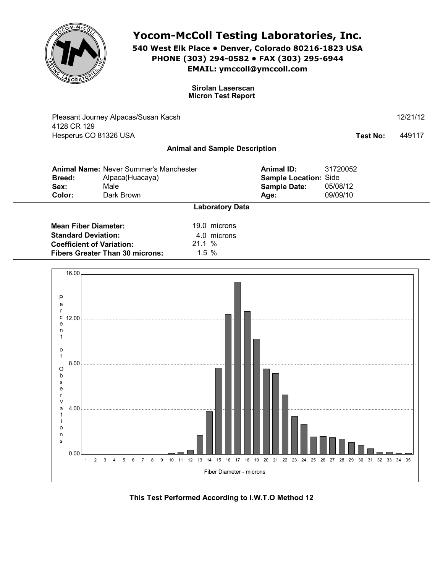

## **Yocom-McColl Testing Laboratories, Inc.**

**540 West Elk Place • Denver, Colorado 80216-1823 USA PHONE (303) 294-0582 • FAX (303) 295-6944 EMAIL: ymccoll@ymccoll.com**

> **Sirolan Laserscan Micron Test Report**

|                                  | Pleasant Journey Alpacas/Susan Kacsh                             |                                      |                                            |                      | 12/21/12 |
|----------------------------------|------------------------------------------------------------------|--------------------------------------|--------------------------------------------|----------------------|----------|
| 4128 CR 129                      | Hesperus CO 81326 USA                                            |                                      |                                            | Test No:             | 449117   |
|                                  |                                                                  | <b>Animal and Sample Description</b> |                                            |                      |          |
| <b>Breed:</b>                    | <b>Animal Name: Never Summer's Manchester</b><br>Alpaca(Huacaya) |                                      | <b>Animal ID:</b><br>Sample Location: Side | 31720052             |          |
| Sex:<br>Color:                   | Male<br>Dark Brown                                               |                                      | <b>Sample Date:</b><br>Age:                | 05/08/12<br>09/09/10 |          |
|                                  |                                                                  | <b>Laboratory Data</b>               |                                            |                      |          |
|                                  | <b>Mean Fiber Diameter:</b>                                      | 19.0 microns                         |                                            |                      |          |
| <b>Standard Deviation:</b>       |                                                                  | 4.0 microns                          |                                            |                      |          |
| <b>Coefficient of Variation:</b> |                                                                  | 21.1%                                |                                            |                      |          |
|                                  | <b>Fibers Greater Than 30 microns:</b>                           | 1.5%                                 |                                            |                      |          |
| 16.00                            |                                                                  |                                      |                                            |                      |          |
|                                  |                                                                  |                                      |                                            |                      |          |
| P                                |                                                                  |                                      |                                            |                      |          |
| е                                |                                                                  |                                      |                                            |                      |          |
| с<br>12.00                       |                                                                  |                                      |                                            |                      |          |



**This Test Performed According to I.W.T.O Method 12**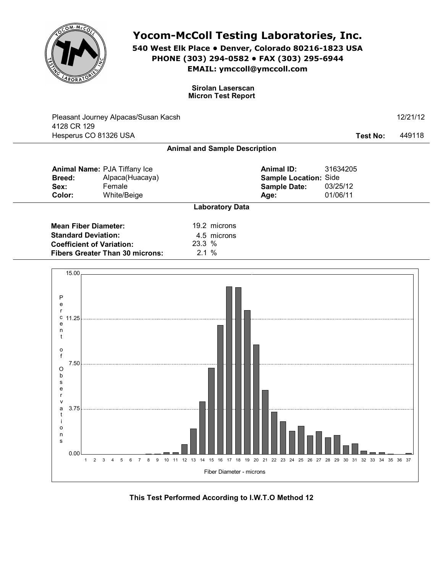

b s e r v a t i o n s

0.00

3.75

## **Yocom-McColl Testing Laboratories, Inc.**

**540 West Elk Place • Denver, Colorado 80216-1823 USA PHONE (303) 294-0582 • FAX (303) 295-6944 EMAIL: ymccoll@ymccoll.com**

> **Sirolan Laserscan Micron Test Report**

| 4128 CR 129                                                                                   | Pleasant Journey Alpacas/Susan Kacsh                                     |                |                                      |                                                                           |                                  | 12/21/12 |
|-----------------------------------------------------------------------------------------------|--------------------------------------------------------------------------|----------------|--------------------------------------|---------------------------------------------------------------------------|----------------------------------|----------|
| Hesperus CO 81326 USA                                                                         |                                                                          |                |                                      |                                                                           | <b>Test No:</b>                  | 449118   |
|                                                                                               |                                                                          |                | <b>Animal and Sample Description</b> |                                                                           |                                  |          |
| <b>Breed:</b><br>Sex:<br>Color:                                                               | Animal Name: PJA Tiffany Ice<br>Alpaca(Huacaya)<br>Female<br>White/Beige |                |                                      | <b>Animal ID:</b><br>Sample Location: Side<br><b>Sample Date:</b><br>Age: | 31634205<br>03/25/12<br>01/06/11 |          |
|                                                                                               |                                                                          |                | <b>Laboratory Data</b>               |                                                                           |                                  |          |
| <b>Mean Fiber Diameter:</b><br><b>Standard Deviation:</b><br><b>Coefficient of Variation:</b> | <b>Fibers Greater Than 30 microns:</b>                                   | 23.3 %<br>2.1% | 19.2 microns<br>4.5 microns          |                                                                           |                                  |          |
| 15.00<br>P<br>e<br>r<br>c<br>11.25<br>e<br>n<br>t<br>o<br>f<br>7.50<br>O                      |                                                                          |                |                                      |                                                                           |                                  |          |



Fiber Diameter - microns

1 2 3 4 5 6 7 8 9 10 11 12 13 14 15 16 17 18 19 20 21 22 23 24 25 26 27 28 29 30 31 32 33 34 35 36 37